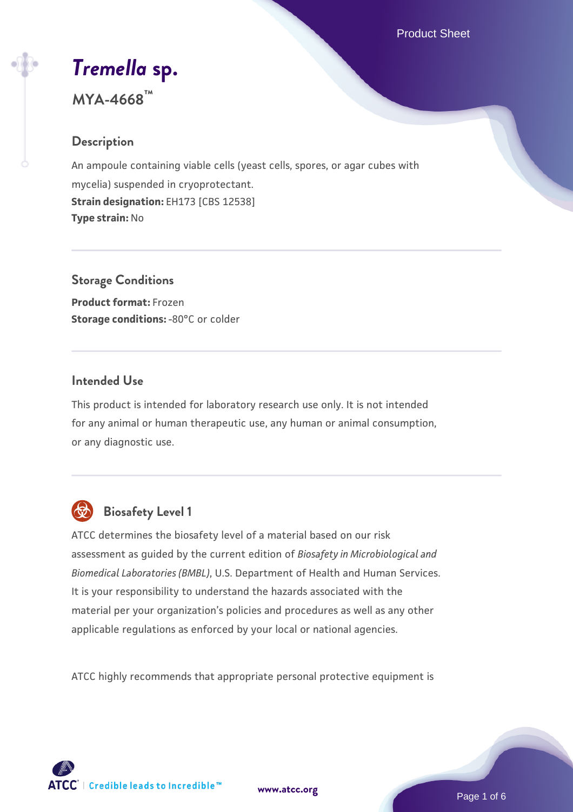Product Sheet

# *[Tremella](https://www.atcc.org/products/mya-4668)* **[sp.](https://www.atcc.org/products/mya-4668)**

**MYA-4668™**

# **Description**

An ampoule containing viable cells (yeast cells, spores, or agar cubes with mycelia) suspended in cryoprotectant. **Strain designation:** EH173 [CBS 12538] **Type strain:** No

# **Storage Conditions**

**Product format:** Frozen **Storage conditions: -80°C or colder** 

# **Intended Use**

This product is intended for laboratory research use only. It is not intended for any animal or human therapeutic use, any human or animal consumption, or any diagnostic use.



# **Biosafety Level 1**

ATCC determines the biosafety level of a material based on our risk assessment as guided by the current edition of *Biosafety in Microbiological and Biomedical Laboratories (BMBL)*, U.S. Department of Health and Human Services. It is your responsibility to understand the hazards associated with the material per your organization's policies and procedures as well as any other applicable regulations as enforced by your local or national agencies.

ATCC highly recommends that appropriate personal protective equipment is



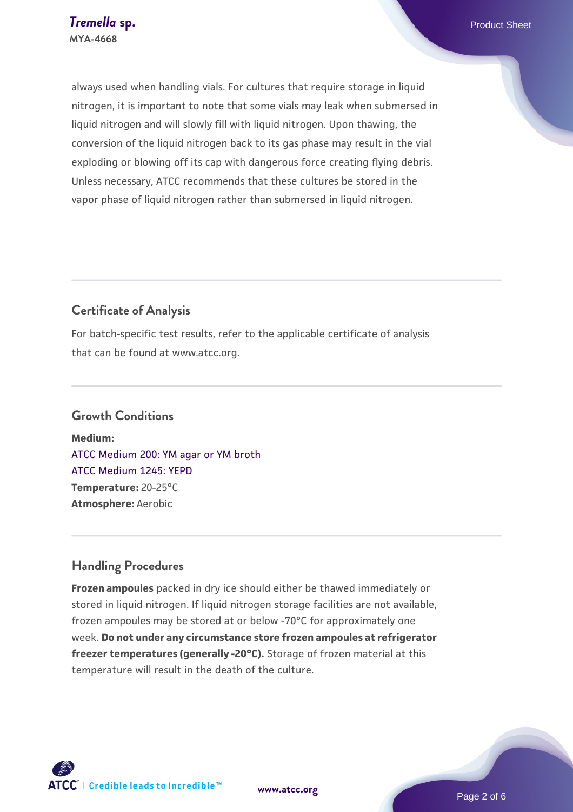always used when handling vials. For cultures that require storage in liquid nitrogen, it is important to note that some vials may leak when submersed in liquid nitrogen and will slowly fill with liquid nitrogen. Upon thawing, the conversion of the liquid nitrogen back to its gas phase may result in the vial exploding or blowing off its cap with dangerous force creating flying debris. Unless necessary, ATCC recommends that these cultures be stored in the vapor phase of liquid nitrogen rather than submersed in liquid nitrogen.

# **Certificate of Analysis**

For batch-specific test results, refer to the applicable certificate of analysis that can be found at www.atcc.org.

#### **Growth Conditions**

**Medium:**  [ATCC Medium 200: YM agar or YM broth](https://www.atcc.org/-/media/product-assets/documents/microbial-media-formulations/2/0/0/atcc-medium-200.pdf?rev=ac40fd74dc13433a809367b0b9da30fc) [ATCC Medium 1245: YEPD](https://www.atcc.org/-/media/product-assets/documents/microbial-media-formulations/1/2/4/5/atcc-medium-1245.pdf?rev=705ca55d1b6f490a808a965d5c072196) **Temperature:** 20-25°C **Atmosphere:** Aerobic

# **Handling Procedures**

**Frozen ampoules** packed in dry ice should either be thawed immediately or stored in liquid nitrogen. If liquid nitrogen storage facilities are not available, frozen ampoules may be stored at or below -70°C for approximately one week. **Do not under any circumstance store frozen ampoules at refrigerator freezer temperatures (generally -20°C).** Storage of frozen material at this temperature will result in the death of the culture.

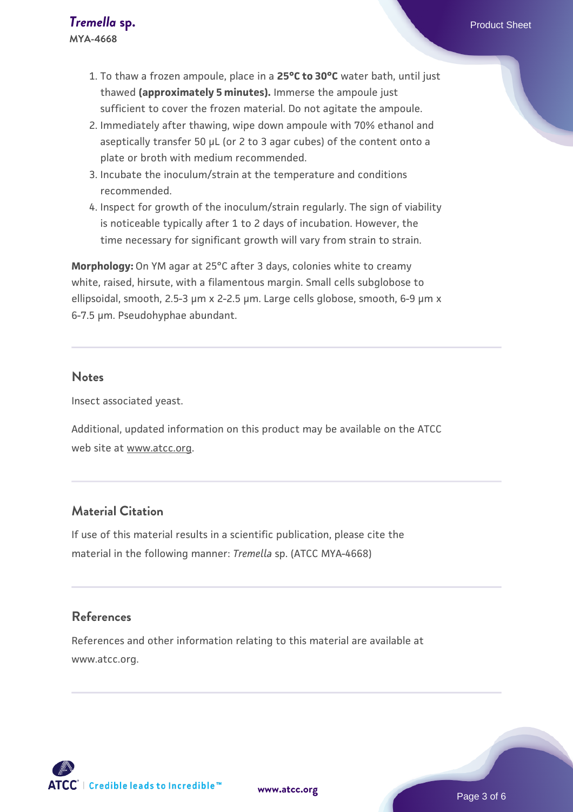- 1. To thaw a frozen ampoule, place in a **25°C to 30°C** water bath, until just thawed **(approximately 5 minutes).** Immerse the ampoule just sufficient to cover the frozen material. Do not agitate the ampoule.
- 2. Immediately after thawing, wipe down ampoule with 70% ethanol and aseptically transfer 50 µL (or 2 to 3 agar cubes) of the content onto a plate or broth with medium recommended.
- 3. Incubate the inoculum/strain at the temperature and conditions recommended.
- 4. Inspect for growth of the inoculum/strain regularly. The sign of viability is noticeable typically after 1 to 2 days of incubation. However, the time necessary for significant growth will vary from strain to strain.

**Morphology:** On YM agar at 25°C after 3 days, colonies white to creamy white, raised, hirsute, with a filamentous margin. Small cells subglobose to ellipsoidal, smooth, 2.5-3 µm x 2-2.5 µm. Large cells globose, smooth, 6-9 µm x 6-7.5 µm. Pseudohyphae abundant.

#### **Notes**

Insect associated yeast.

Additional, updated information on this product may be available on the ATCC web site at www.atcc.org.

#### **Material Citation**

If use of this material results in a scientific publication, please cite the material in the following manner: *Tremella* sp. (ATCC MYA-4668)

#### **References**

References and other information relating to this material are available at www.atcc.org.

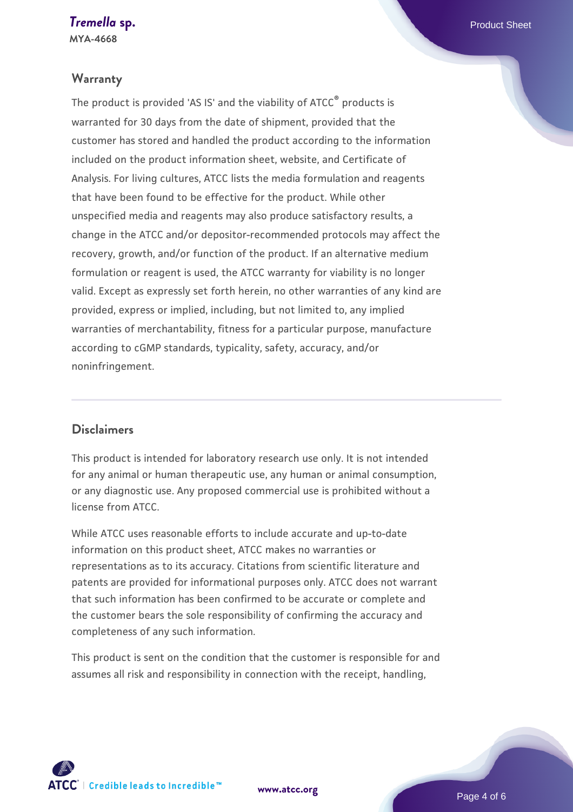#### **Warranty**

The product is provided 'AS IS' and the viability of ATCC® products is warranted for 30 days from the date of shipment, provided that the customer has stored and handled the product according to the information included on the product information sheet, website, and Certificate of Analysis. For living cultures, ATCC lists the media formulation and reagents that have been found to be effective for the product. While other unspecified media and reagents may also produce satisfactory results, a change in the ATCC and/or depositor-recommended protocols may affect the recovery, growth, and/or function of the product. If an alternative medium formulation or reagent is used, the ATCC warranty for viability is no longer valid. Except as expressly set forth herein, no other warranties of any kind are provided, express or implied, including, but not limited to, any implied warranties of merchantability, fitness for a particular purpose, manufacture according to cGMP standards, typicality, safety, accuracy, and/or noninfringement.

#### **Disclaimers**

This product is intended for laboratory research use only. It is not intended for any animal or human therapeutic use, any human or animal consumption, or any diagnostic use. Any proposed commercial use is prohibited without a license from ATCC.

While ATCC uses reasonable efforts to include accurate and up-to-date information on this product sheet, ATCC makes no warranties or representations as to its accuracy. Citations from scientific literature and patents are provided for informational purposes only. ATCC does not warrant that such information has been confirmed to be accurate or complete and the customer bears the sole responsibility of confirming the accuracy and completeness of any such information.

This product is sent on the condition that the customer is responsible for and assumes all risk and responsibility in connection with the receipt, handling,



**[www.atcc.org](http://www.atcc.org)**

Page 4 of 6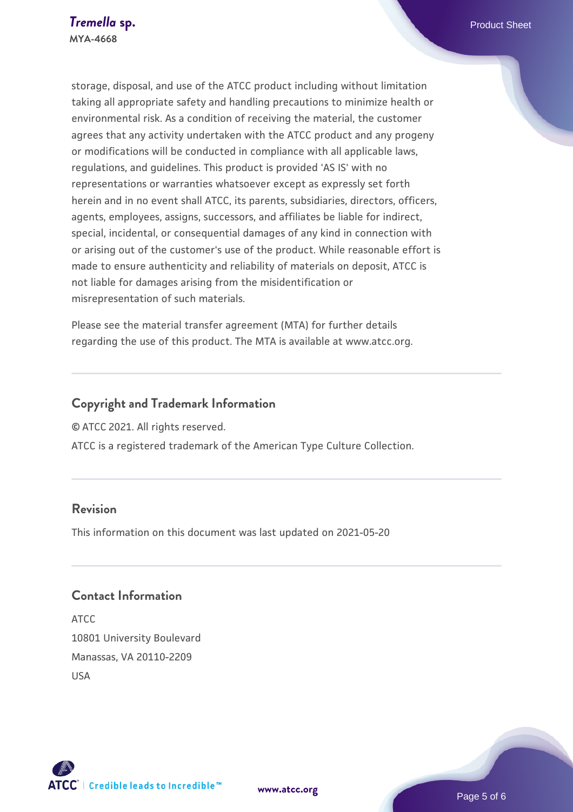storage, disposal, and use of the ATCC product including without limitation taking all appropriate safety and handling precautions to minimize health or environmental risk. As a condition of receiving the material, the customer agrees that any activity undertaken with the ATCC product and any progeny or modifications will be conducted in compliance with all applicable laws, regulations, and guidelines. This product is provided 'AS IS' with no representations or warranties whatsoever except as expressly set forth herein and in no event shall ATCC, its parents, subsidiaries, directors, officers, agents, employees, assigns, successors, and affiliates be liable for indirect, special, incidental, or consequential damages of any kind in connection with or arising out of the customer's use of the product. While reasonable effort is made to ensure authenticity and reliability of materials on deposit, ATCC is not liable for damages arising from the misidentification or misrepresentation of such materials.

Please see the material transfer agreement (MTA) for further details regarding the use of this product. The MTA is available at www.atcc.org.

# **Copyright and Trademark Information**

© ATCC 2021. All rights reserved.

ATCC is a registered trademark of the American Type Culture Collection.

## **Revision**

This information on this document was last updated on 2021-05-20

# **Contact Information**

ATCC 10801 University Boulevard Manassas, VA 20110-2209 USA